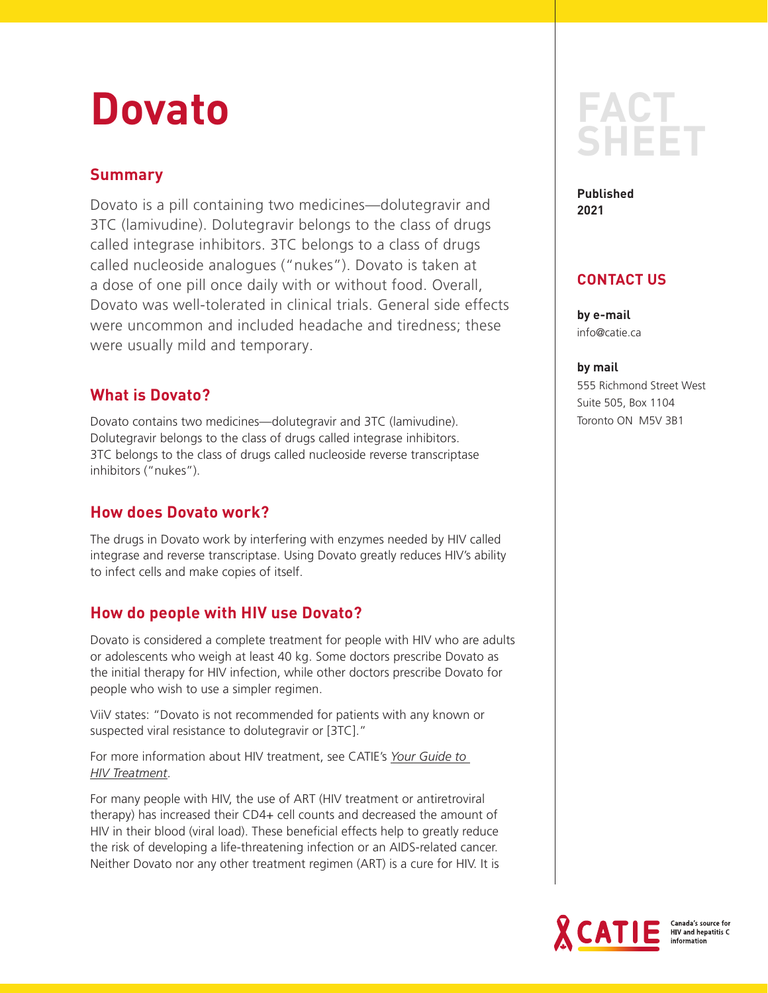# **Dovato**

## **Summary**

Dovato is a pill containing two medicines—dolutegravir and 3TC (lamivudine). Dolutegravir belongs to the class of drugs called integrase inhibitors. 3TC belongs to a class of drugs called nucleoside analogues ("nukes"). Dovato is taken at a dose of one pill once daily with or without food. Overall, Dovato was well-tolerated in clinical trials. General side effects were uncommon and included headache and tiredness; these were usually mild and temporary.

## **What is Dovato?**

Dovato contains two medicines—dolutegravir and 3TC (lamivudine). Dolutegravir belongs to the class of drugs called integrase inhibitors. 3TC belongs to the class of drugs called nucleoside reverse transcriptase inhibitors ("nukes").

## **How does Dovato work?**

The drugs in Dovato work by interfering with enzymes needed by HIV called integrase and reverse transcriptase. Using Dovato greatly reduces HIV's ability to infect cells and make copies of itself.

## **How do people with HIV use Dovato?**

Dovato is considered a complete treatment for people with HIV who are adults or adolescents who weigh at least 40 kg. Some doctors prescribe Dovato as the initial therapy for HIV infection, while other doctors prescribe Dovato for people who wish to use a simpler regimen.

ViiV states: "Dovato is not recommended for patients with any known or suspected viral resistance to dolutegravir or [3TC]."

For more information about HIV treatment, see CATIE's *[Your Guide to](https://www.catie.ca/en/practical-guides/yght)  [HIV Treatment](https://www.catie.ca/en/practical-guides/yght)*.

For many people with HIV, the use of ART (HIV treatment or antiretroviral therapy) has increased their CD4+ cell counts and decreased the amount of HIV in their blood (viral load). These beneficial effects help to greatly reduce the risk of developing a life-threatening infection or an AIDS-related cancer. Neither Dovato nor any other treatment regimen (ART) is a cure for HIV. It is

## **FACT SHEET**

**Published 2021**

## **CONTACT US**

**by e-mail** info@catie.ca

**by mail**

555 Richmond Street West Suite 505, Box 1104 Toronto ON M5V 3B1



**HIV and hepatitis C**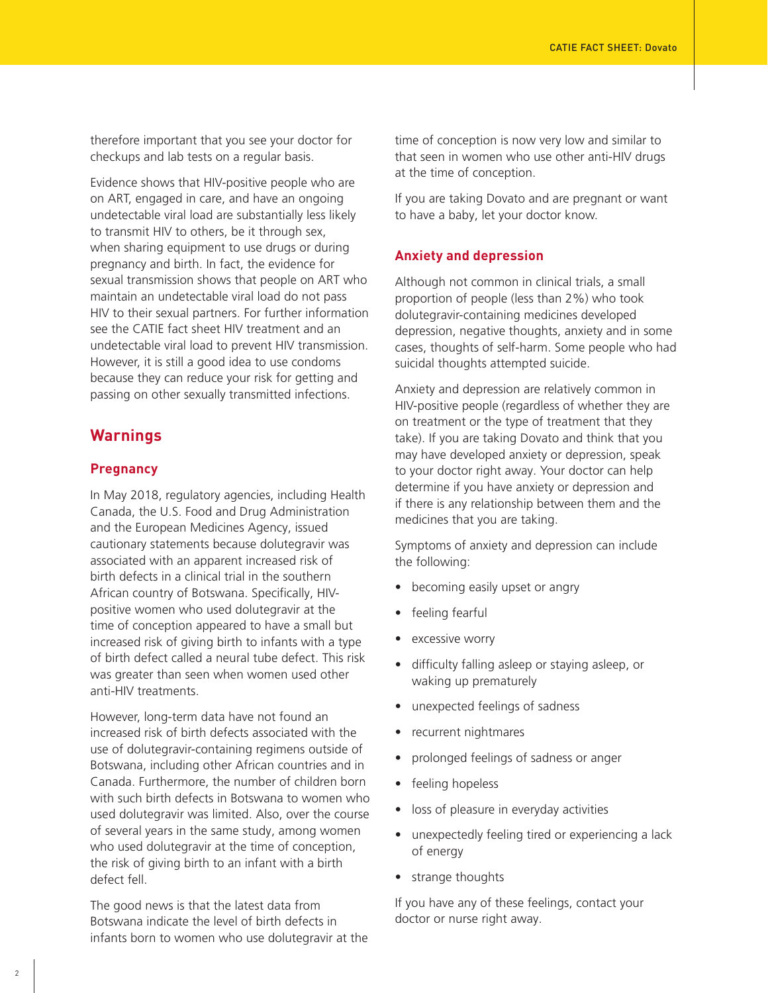therefore important that you see your doctor for checkups and lab tests on a regular basis.

Evidence shows that HIV-positive people who are on ART, engaged in care, and have an ongoing undetectable viral load are substantially less likely to transmit HIV to others, be it through sex, when sharing equipment to use drugs or during pregnancy and birth. In fact, the evidence for sexual transmission shows that people on ART who maintain an undetectable viral load do not pass HIV to their sexual partners. For further information see the CATIE fact sheet HIV treatment and an undetectable viral load to prevent HIV transmission. However, it is still a good idea to use condoms because they can reduce your risk for getting and passing on other sexually transmitted infections.

## **Warnings**

#### **Pregnancy**

In May 2018, regulatory agencies, including Health Canada, the U.S. Food and Drug Administration and the European Medicines Agency, issued cautionary statements because dolutegravir was associated with an apparent increased risk of birth defects in a clinical trial in the southern African country of Botswana. Specifically, HIVpositive women who used dolutegravir at the time of conception appeared to have a small but increased risk of giving birth to infants with a type of birth defect called a neural tube defect. This risk was greater than seen when women used other anti-HIV treatments.

However, long-term data have not found an increased risk of birth defects associated with the use of dolutegravir-containing regimens outside of Botswana, including other African countries and in Canada. Furthermore, the number of children born with such birth defects in Botswana to women who used dolutegravir was limited. Also, over the course of several years in the same study, among women who used dolutegravir at the time of conception, the risk of giving birth to an infant with a birth defect fell.

The good news is that the latest data from Botswana indicate the level of birth defects in infants born to women who use dolutegravir at the time of conception is now very low and similar to that seen in women who use other anti-HIV drugs at the time of conception.

If you are taking Dovato and are pregnant or want to have a baby, let your doctor know.

#### **Anxiety and depression**

Although not common in clinical trials, a small proportion of people (less than 2%) who took dolutegravir-containing medicines developed depression, negative thoughts, anxiety and in some cases, thoughts of self-harm. Some people who had suicidal thoughts attempted suicide.

Anxiety and depression are relatively common in HIV-positive people (regardless of whether they are on treatment or the type of treatment that they take). If you are taking Dovato and think that you may have developed anxiety or depression, speak to your doctor right away. Your doctor can help determine if you have anxiety or depression and if there is any relationship between them and the medicines that you are taking.

Symptoms of anxiety and depression can include the following:

- becoming easily upset or angry
- feeling fearful
- excessive worry
- difficulty falling asleep or staying asleep, or waking up prematurely
- unexpected feelings of sadness
- recurrent nightmares
- prolonged feelings of sadness or anger
- feeling hopeless
- loss of pleasure in everyday activities
- unexpectedly feeling tired or experiencing a lack of energy
- strange thoughts

If you have any of these feelings, contact your doctor or nurse right away.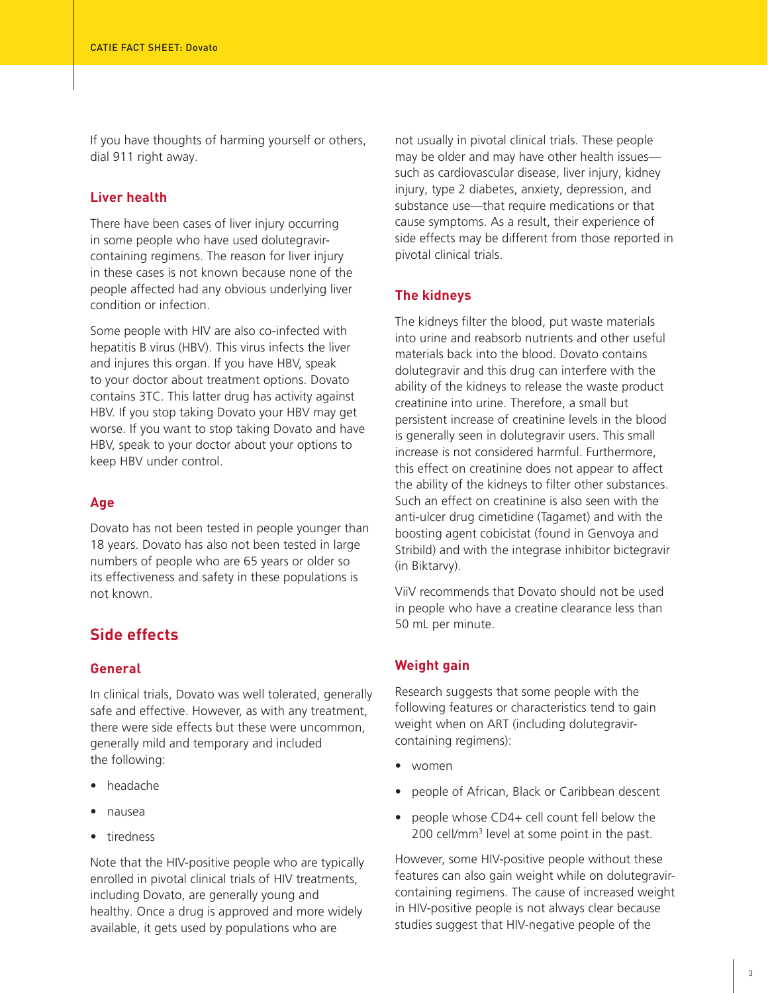If you have thoughts of harming yourself or others, dial 911 right away.

#### **Liver health**

There have been cases of liver injury occurring in some people who have used dolutegravircontaining regimens. The reason for liver injury in these cases is not known because none of the people affected had any obvious underlying liver condition or infection.

Some people with HIV are also co-infected with hepatitis B virus (HBV). This virus infects the liver and injures this organ. If you have HBV, speak to your doctor about treatment options. Dovato contains 3TC. This latter drug has activity against HBV. If you stop taking Dovato your HBV may get worse. If you want to stop taking Dovato and have HBV, speak to your doctor about your options to keep HBV under control.

#### **Age**

Dovato has not been tested in people younger than 18 years. Dovato has also not been tested in large numbers of people who are 65 years or older so its effectiveness and safety in these populations is not known.

## **Side effects**

#### **General**

In clinical trials, Dovato was well tolerated, generally safe and effective. However, as with any treatment, there were side effects but these were uncommon, generally mild and temporary and included the following:

- headache
- nausea
- tiredness

Note that the HIV-positive people who are typically enrolled in pivotal clinical trials of HIV treatments, including Dovato, are generally young and healthy. Once a drug is approved and more widely available, it gets used by populations who are

not usually in pivotal clinical trials. These people may be older and may have other health issues such as cardiovascular disease, liver injury, kidney injury, type 2 diabetes, anxiety, depression, and substance use—that require medications or that cause symptoms. As a result, their experience of side effects may be different from those reported in pivotal clinical trials.

#### **The kidneys**

The kidneys filter the blood, put waste materials into urine and reabsorb nutrients and other useful materials back into the blood. Dovato contains dolutegravir and this drug can interfere with the ability of the kidneys to release the waste product creatinine into urine. Therefore, a small but persistent increase of creatinine levels in the blood is generally seen in dolutegravir users. This small increase is not considered harmful. Furthermore, this effect on creatinine does not appear to affect the ability of the kidneys to filter other substances. Such an effect on creatinine is also seen with the anti-ulcer drug cimetidine (Tagamet) and with the boosting agent cobicistat (found in Genvoya and Stribild) and with the integrase inhibitor bictegravir (in Biktarvy).

ViiV recommends that Dovato should not be used in people who have a creatine clearance less than 50 mL per minute.

#### **Weight gain**

Research suggests that some people with the following features or characteristics tend to gain weight when on ART (including dolutegravircontaining regimens):

- women
- people of African, Black or Caribbean descent
- people whose CD4+ cell count fell below the 200 cell/mm<sup>3</sup> level at some point in the past.

However, some HIV-positive people without these features can also gain weight while on dolutegravircontaining regimens. The cause of increased weight in HIV-positive people is not always clear because studies suggest that HIV-negative people of the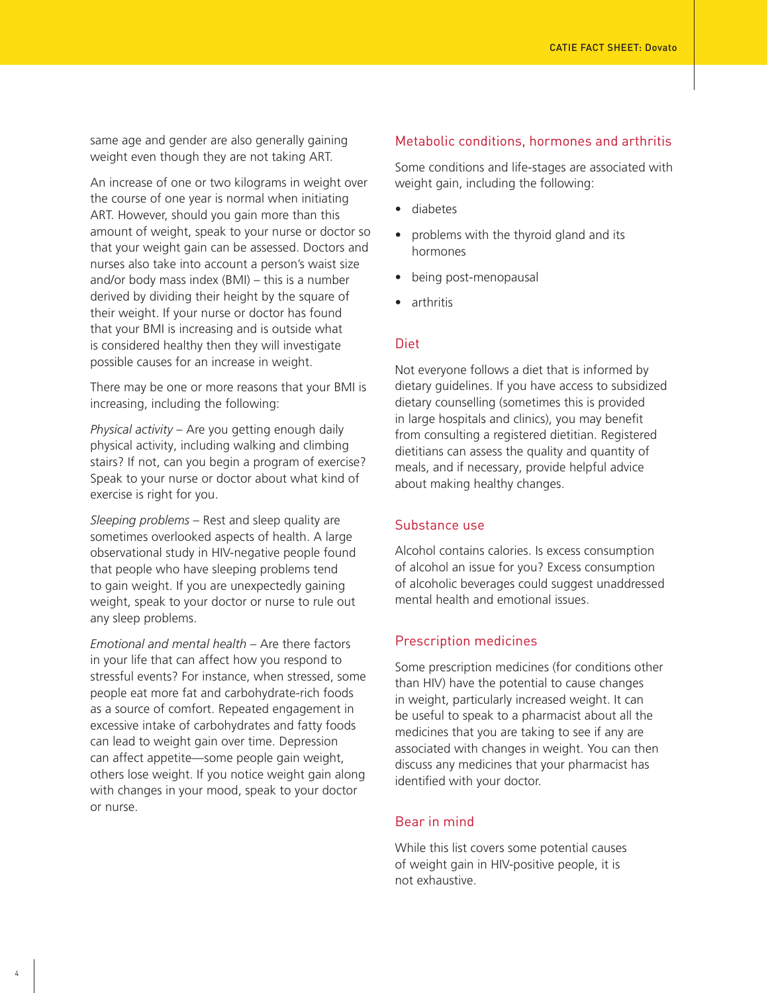same age and gender are also generally gaining weight even though they are not taking ART.

An increase of one or two kilograms in weight over the course of one year is normal when initiating ART. However, should you gain more than this amount of weight, speak to your nurse or doctor so that your weight gain can be assessed. Doctors and nurses also take into account a person's waist size and/or body mass index (BMI) – this is a number derived by dividing their height by the square of their weight. If your nurse or doctor has found that your BMI is increasing and is outside what is considered healthy then they will investigate possible causes for an increase in weight.

There may be one or more reasons that your BMI is increasing, including the following:

*Physical activity* – Are you getting enough daily physical activity, including walking and climbing stairs? If not, can you begin a program of exercise? Speak to your nurse or doctor about what kind of exercise is right for you.

*Sleeping problems* – Rest and sleep quality are sometimes overlooked aspects of health. A large observational study in HIV-negative people found that people who have sleeping problems tend to gain weight. If you are unexpectedly gaining weight, speak to your doctor or nurse to rule out any sleep problems.

*Emotional and mental health* – Are there factors in your life that can affect how you respond to stressful events? For instance, when stressed, some people eat more fat and carbohydrate-rich foods as a source of comfort. Repeated engagement in excessive intake of carbohydrates and fatty foods can lead to weight gain over time. Depression can affect appetite—some people gain weight, others lose weight. If you notice weight gain along with changes in your mood, speak to your doctor or nurse.

#### Metabolic conditions, hormones and arthritis

Some conditions and life-stages are associated with weight gain, including the following:

- diabetes
- problems with the thyroid gland and its hormones
- being post-menopausal
- arthritis

#### Diet

Not everyone follows a diet that is informed by dietary guidelines. If you have access to subsidized dietary counselling (sometimes this is provided in large hospitals and clinics), you may benefit from consulting a registered dietitian. Registered dietitians can assess the quality and quantity of meals, and if necessary, provide helpful advice about making healthy changes.

#### Substance use

Alcohol contains calories. Is excess consumption of alcohol an issue for you? Excess consumption of alcoholic beverages could suggest unaddressed mental health and emotional issues.

#### Prescription medicines

Some prescription medicines (for conditions other than HIV) have the potential to cause changes in weight, particularly increased weight. It can be useful to speak to a pharmacist about all the medicines that you are taking to see if any are associated with changes in weight. You can then discuss any medicines that your pharmacist has identified with your doctor.

#### Bear in mind

While this list covers some potential causes of weight gain in HIV-positive people, it is not exhaustive.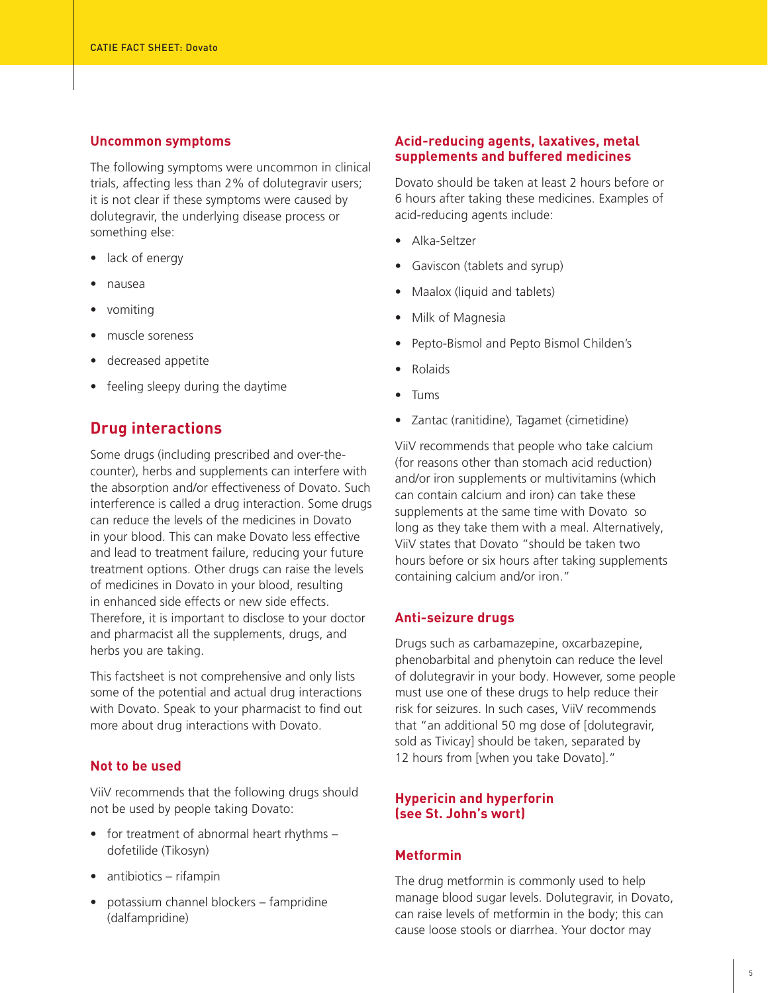#### **Uncommon symptoms**

The following symptoms were uncommon in clinical trials, affecting less than 2% of dolutegravir users; it is not clear if these symptoms were caused by dolutegravir, the underlying disease process or something else:

- lack of energy
- nausea
- vomiting
- muscle soreness
- decreased appetite
- feeling sleepy during the daytime

#### **Drug interactions**

Some drugs (including prescribed and over-thecounter), herbs and supplements can interfere with the absorption and/or effectiveness of Dovato. Such interference is called a drug interaction. Some drugs can reduce the levels of the medicines in Dovato in your blood. This can make Dovato less effective and lead to treatment failure, reducing your future treatment options. Other drugs can raise the levels of medicines in Dovato in your blood, resulting in enhanced side effects or new side effects. Therefore, it is important to disclose to your doctor and pharmacist all the supplements, drugs, and herbs you are taking.

This factsheet is not comprehensive and only lists some of the potential and actual drug interactions with Dovato. Speak to your pharmacist to find out more about drug interactions with Dovato.

#### **Not to be used**

ViiV recommends that the following drugs should not be used by people taking Dovato:

- for treatment of abnormal heart rhythms dofetilide (Tikosyn)
- antibiotics rifampin
- potassium channel blockers fampridine (dalfampridine)

#### **Acid-reducing agents, laxatives, metal supplements and buffered medicines**

Dovato should be taken at least 2 hours before or 6 hours after taking these medicines. Examples of acid-reducing agents include:

- Alka-Seltzer
- Gaviscon (tablets and syrup)
- Maalox (liquid and tablets)
- Milk of Magnesia
- Pepto-Bismol and Pepto Bismol Childen's
- Rolaids
- Tums
- Zantac (ranitidine), Tagamet (cimetidine)

ViiV recommends that people who take calcium (for reasons other than stomach acid reduction) and/or iron supplements or multivitamins (which can contain calcium and iron) can take these supplements at the same time with Dovato so long as they take them with a meal. Alternatively, ViiV states that Dovato "should be taken two hours before or six hours after taking supplements containing calcium and/or iron."

#### **Anti-seizure drugs**

Drugs such as carbamazepine, oxcarbazepine, phenobarbital and phenytoin can reduce the level of dolutegravir in your body. However, some people must use one of these drugs to help reduce their risk for seizures. In such cases, ViiV recommends that "an additional 50 mg dose of [dolutegravir, sold as Tivicay] should be taken, separated by 12 hours from [when you take Dovato]."

#### **Hypericin and hyperforin (see St. John's wort)**

#### **Metformin**

The drug metformin is commonly used to help manage blood sugar levels. Dolutegravir, in Dovato, can raise levels of metformin in the body; this can cause loose stools or diarrhea. Your doctor may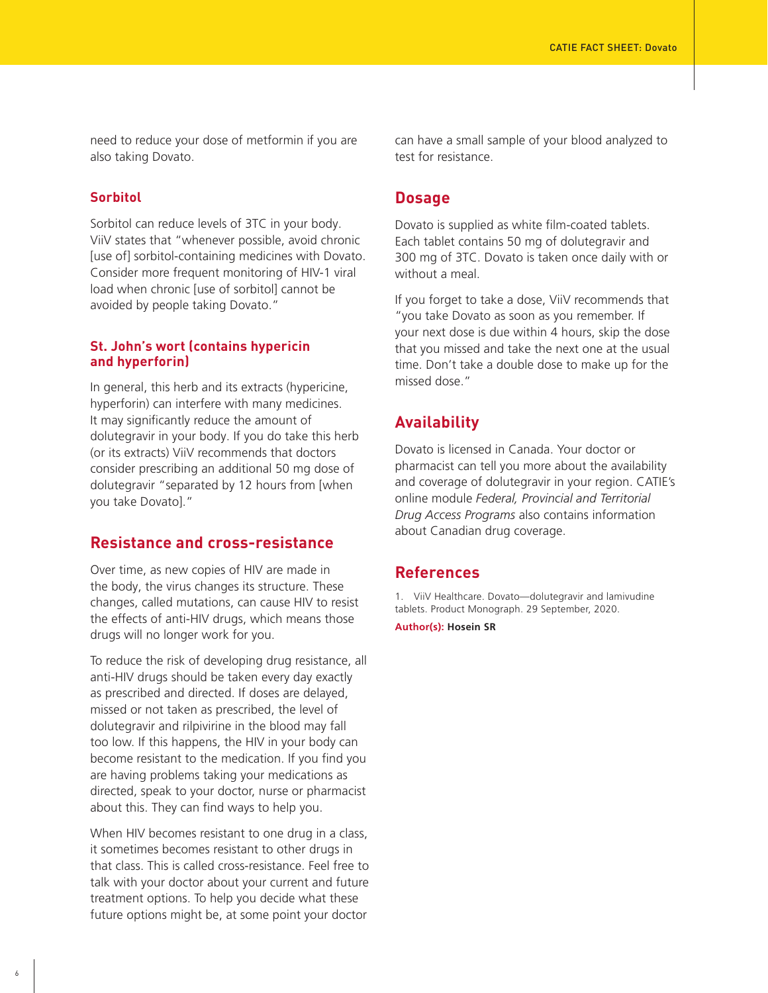need to reduce your dose of metformin if you are also taking Dovato.

#### **Sorbitol**

Sorbitol can reduce levels of 3TC in your body. ViiV states that "whenever possible, avoid chronic [use of] sorbitol-containing medicines with Dovato. Consider more frequent monitoring of HIV-1 viral load when chronic [use of sorbitol] cannot be avoided by people taking Dovato."

#### **St. John's wort (contains hypericin and hyperforin)**

In general, this herb and its extracts (hypericine, hyperforin) can interfere with many medicines. It may significantly reduce the amount of dolutegravir in your body. If you do take this herb (or its extracts) ViiV recommends that doctors consider prescribing an additional 50 mg dose of dolutegravir "separated by 12 hours from [when you take Dovato]."

#### **Resistance and cross-resistance**

Over time, as new copies of HIV are made in the body, the virus changes its structure. These changes, called mutations, can cause HIV to resist the effects of anti-HIV drugs, which means those drugs will no longer work for you.

To reduce the risk of developing drug resistance, all anti-HIV drugs should be taken every day exactly as prescribed and directed. If doses are delayed, missed or not taken as prescribed, the level of dolutegravir and rilpivirine in the blood may fall too low. If this happens, the HIV in your body can become resistant to the medication. If you find you are having problems taking your medications as directed, speak to your doctor, nurse or pharmacist about this. They can find ways to help you.

When HIV becomes resistant to one drug in a class, it sometimes becomes resistant to other drugs in that class. This is called cross-resistance. Feel free to talk with your doctor about your current and future treatment options. To help you decide what these future options might be, at some point your doctor

can have a small sample of your blood analyzed to test for resistance.

#### **Dosage**

Dovato is supplied as white film-coated tablets. Each tablet contains 50 mg of dolutegravir and 300 mg of 3TC. Dovato is taken once daily with or without a meal.

If you forget to take a dose, ViiV recommends that "you take Dovato as soon as you remember. If your next dose is due within 4 hours, skip the dose that you missed and take the next one at the usual time. Don't take a double dose to make up for the missed dose."

#### **Availability**

Dovato is licensed in Canada. Your doctor or pharmacist can tell you more about the availability and coverage of dolutegravir in your region. CATIE's online module *Federal, Provincial and Territorial Drug Access Programs* also contains information about Canadian drug coverage.

#### **References**

1. ViiV Healthcare. Dovato—dolutegravir and lamivudine tablets. Product Monograph. 29 September, 2020.

**Author(s): Hosein SR**